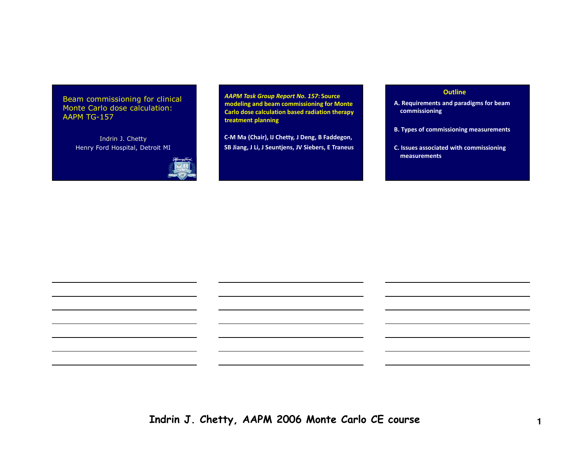Beam commissioning for clinical Monte Carlo dose calculation: AAPM TG-157

> Indrin J. ChettyHenry Ford Hospital, Detroit MI



AAPM Task Group Report No. 157: Source modeling and beam commissioning for Monte Carlo dose calculation based radiation therapy treatment planning

C-M Ma (Chair), IJ Chetty, <sup>J</sup> Deng, <sup>B</sup> Faddegon, SB Jiang, <sup>J</sup> Li, <sup>J</sup> Seuntjens, JV Siebers, <sup>E</sup> Traneus

## **Outline**

- A. Requirements and paradigms for beam commissioning
- B. Types of commissioning measurements
- C. Issues associated with commissioning measurements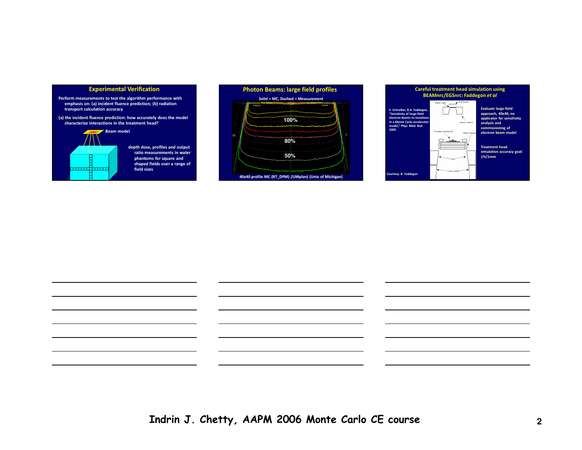#### Experimental Verification

- Perform measurements to test the algorithm performance with emphasis on: (a) incident fluence prediction; (b) radiation transport calculation accuracy
- (a) the incident fluence prediction: how accurately does the model characterize interactions in the treatment head?

# **Beam model**

Ħ **TITLE STATE** E.

depth dose, profiles and output ratio measurements in water phantoms for square and shaped fields over a range of field sizes





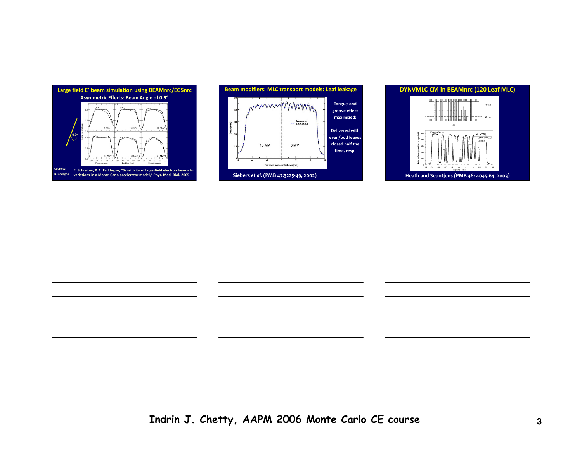





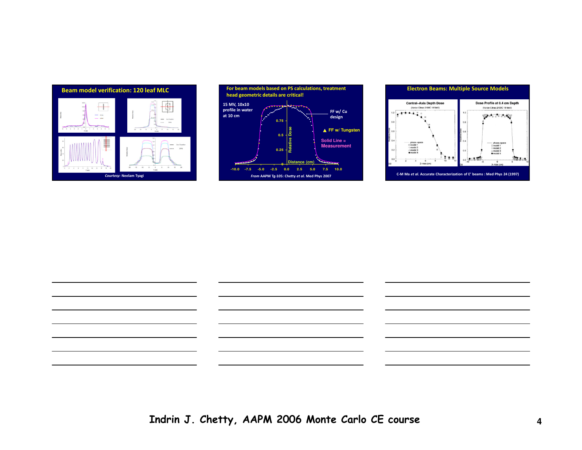







Indrin J. Chetty, AAPM 2006 Monte Carlo CE course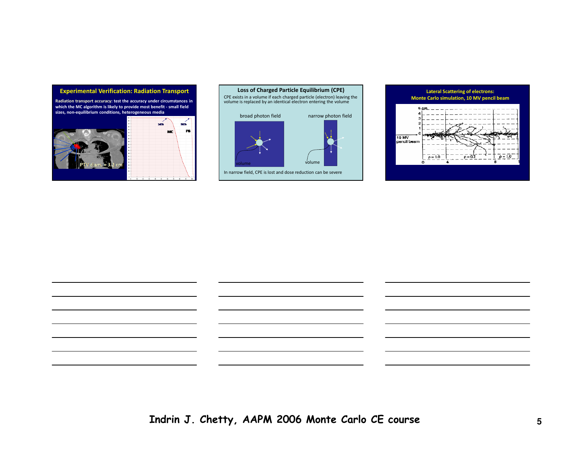#### Experimental Verification: Radiation Transport

Radiation transport accuracy: test the accuracy under circumstances in which the MC algorithm is likely to provide most benefit - small field sizes, non-equilibrium conditions, heterogeneous media









Indrin J. Chetty, AAPM 2006 Monte Carlo CE course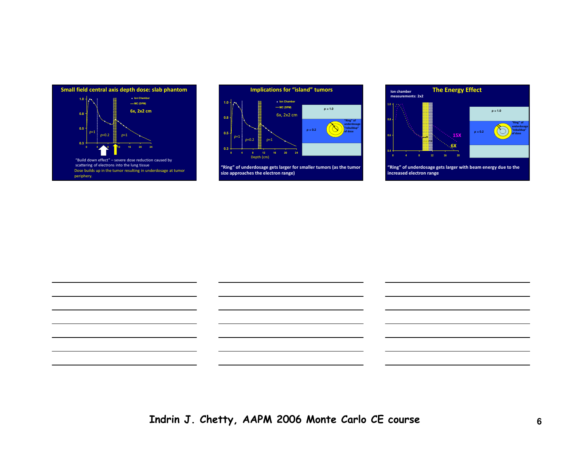



"Ring" of underdosage gets larger for smaller tumors (as the tumor size approaches the electron range)



"Ring" of underdosage gets larger with beam energy due to the increased electron range

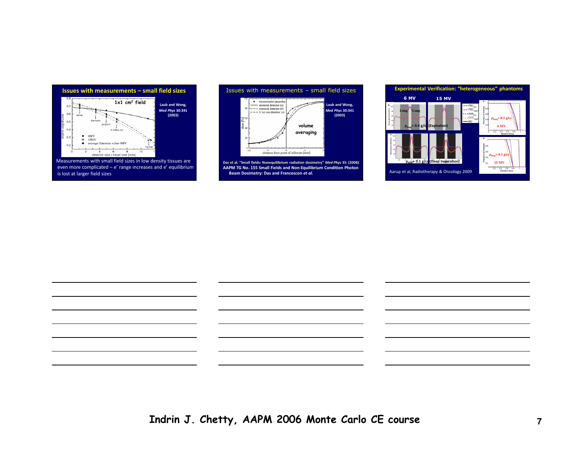

 even more complicated – <sup>e</sup>' range increases and e' equilibrium is lost at larger field sizes



Das et al. "Small fields: Nonequilibrium radiation dosimetry" Med Phys 35: (2008) AAPM TG No. 155 Small Fields and Non-Equilibrium Condition Photon Beam Dosimetry: Das and Francescon et al.



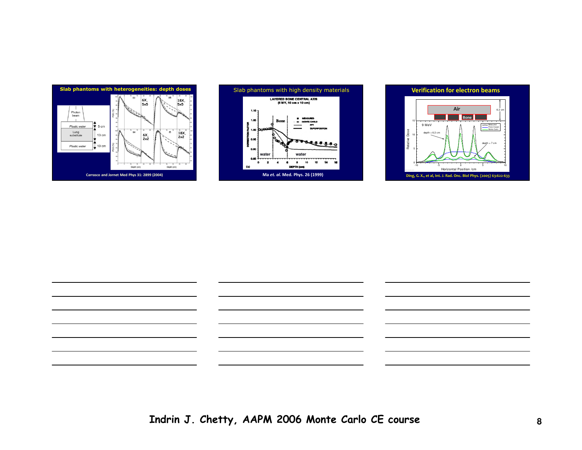







Indrin J. Chetty, AAPM 2006 Monte Carlo CE course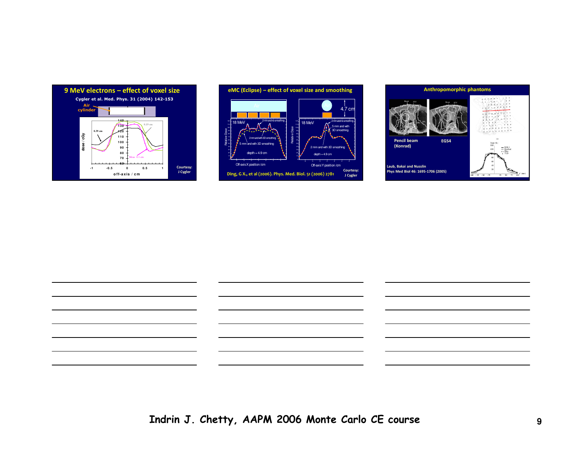







Indrin J. Chetty, AAPM 2006 Monte Carlo CE course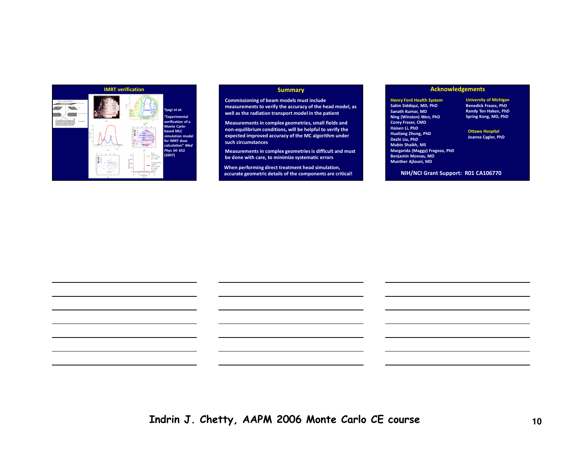

#### **Summary**

Commissioning of beam models must include measurements to verify the accuracy of the head model, as well as the radiation transport model in the patient

Measurements in complex geometries, small fields and non-equilibrium conditions, will be helpful to verify the expected improved accuracy of the MC algorithm under such circumstances

Measurements in complex geometries is difficult and must be done with care, to minimize systematic errors

When performing direct treatment head simulation, accurate geometric details of the components are critical!

### Acknowledgements

Henry Ford Health System Salim Siddiqui, MD, PhD Sanath Kumar, MD Ning (Winston) Wen, PhDCorey Fraser, CMDHaisen Li, PhD Hualiang Zhong, PhDDezhi Liu, PhD Mubin Shaikh, MS Margarida (Maggy) Fragoso, PhD Benjamin Movsas, MDMunther Ajlouni, MD

University of Michigan Benedick Fraass, PhD Randy Ten Haken, PhDSpring Kong, MD, PhD

Ottawa HospitalJoanna Cygler, PhD

NIH/NCI Grant Support: R01 CA106770